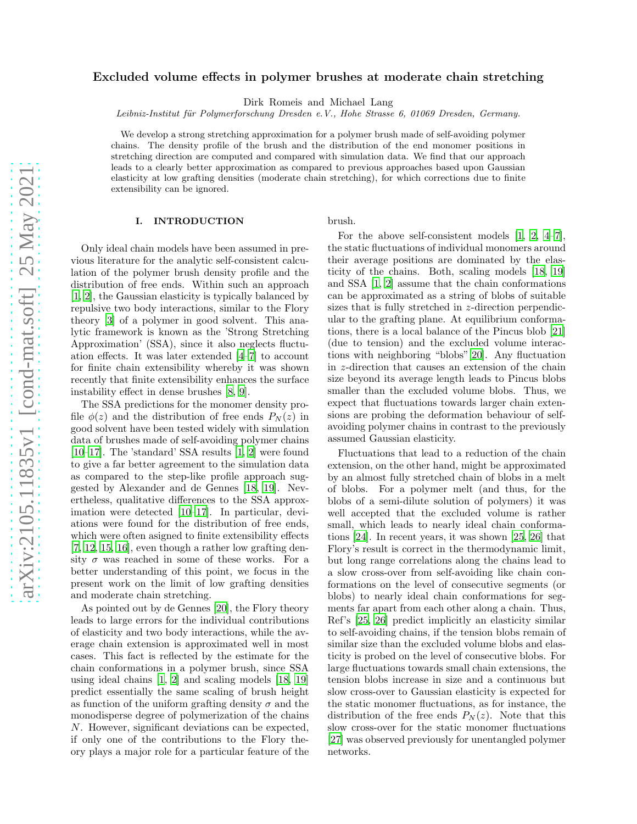# Excluded volume effects in polymer brushes at moderate chain stretching

Dirk Romeis and Michael Lang

Leibniz-Institut für Polymerforschung Dresden e.V., Hohe Strasse 6, 01069 Dresden, Germany.

We develop a strong stretching approximation for a polymer brush made of self-avoiding polymer chains. The density profile of the brush and the distribution of the end monomer positions in stretching direction are computed and compared with simulation data. We find that our approach leads to a clearly better approximation as compared to previous approaches based upon Gaussian elasticity at low grafting densities (moderate chain stretching), for which corrections due to finite extensibility can be ignored.

# I. INTRODUCTION

Only ideal chain models have been assumed in previous literature for the analytic self-consistent calculation of the polymer brush density profile and the distribution of free ends. Within such an approach [\[1,](#page-6-0) [2\]](#page-6-1), the Gaussian elasticity is typically balanced by repulsive two body interactions, similar to the Flory theory [\[3\]](#page-6-2) of a polymer in good solvent. This analytic framework is known as the 'Strong Stretching Approximation' (SSA), since it also neglects fluctuation effects. It was later extended [\[4](#page-6-3)[–7\]](#page-6-4) to account for finite chain extensibility whereby it was shown recently that finite extensibility enhances the surface instability effect in dense brushes [8, 9].

The SSA predictions for the monomer density profile  $\phi(z)$  and the distribution of free ends  $P_N(z)$  in good solvent have been tested widely with simulation data of brushes made of self-avoiding polymer chains [\[10](#page-6-5)[–17\]](#page-6-6). The 'standard' SSA results [\[1](#page-6-0), [2\]](#page-6-1) were found to give a far better agreement to the simulation data as compared to the step-like profile approach suggested by Alexander and de Gennes [\[18,](#page-6-7) [19\]](#page-7-0). Nevertheless, qualitative differences to the SSA approximation were detected [\[10](#page-6-5)[–17\]](#page-6-6). In particular, deviations were found for the distribution of free ends, which were often asigned to finite extensibility effects [\[7,](#page-6-4) [12](#page-6-8), [15,](#page-6-9) [16\]](#page-6-10), even though a rather low grafting density  $\sigma$  was reached in some of these works. For a better understanding of this point, we focus in the present work on the limit of low grafting densities and moderate chain stretching.

As pointed out by de Gennes [\[20\]](#page-7-1), the Flory theory leads to large errors for the individual contributions of elasticity and two body interactions, while the average chain extension is approximated well in most cases. This fact is reflected by the estimate for the chain conformations in a polymer brush, since SSA using ideal chains [\[1](#page-6-0), [2\]](#page-6-1) and scaling models [\[18,](#page-6-7) [19](#page-7-0)] predict essentially the same scaling of brush height as function of the uniform grafting density  $\sigma$  and the monodisperse degree of polymerization of the chains N. However, significant deviations can be expected, if only one of the contributions to the Flory theory plays a major role for a particular feature of the brush.

For the above self-consistent models [\[1,](#page-6-0) [2,](#page-6-1) [4](#page-6-3)[–7\]](#page-6-4), the static fluctuations of individual monomers around their average positions are dominated by the elasticity of the chains. Both, scaling models [\[18,](#page-6-7) [19](#page-7-0)] and SSA [\[1,](#page-6-0) [2\]](#page-6-1) assume that the chain conformations can be approximated as a string of blobs of suitable sizes that is fully stretched in z-direction perpendicular to the grafting plane. At equilibrium conformations, there is a local balance of the Pincus blob [\[21](#page-7-2)] (due to tension) and the excluded volume interactions with neighboring "blobs"[\[20\]](#page-7-1). Any fluctuation in z-direction that causes an extension of the chain size beyond its average length leads to Pincus blobs smaller than the excluded volume blobs. Thus, we expect that fluctuations towards larger chain extensions are probing the deformation behaviour of selfavoiding polymer chains in contrast to the previously assumed Gaussian elasticity.

Fluctuations that lead to a reduction of the chain extension, on the other hand, might be approximated by an almost fully stretched chain of blobs in a melt of blobs. For a polymer melt (and thus, for the blobs of a semi-dilute solution of polymers) it was well accepted that the excluded volume is rather small, which leads to nearly ideal chain conformations [\[24\]](#page-7-3). In recent years, it was shown [\[25,](#page-7-4) [26\]](#page-7-5) that Flory's result is correct in the thermodynamic limit, but long range correlations along the chains lead to a slow cross-over from self-avoiding like chain conformations on the level of consecutive segments (or blobs) to nearly ideal chain conformations for segments far apart from each other along a chain. Thus, Ref's [\[25](#page-7-4), [26\]](#page-7-5) predict implicitly an elasticity similar to self-avoiding chains, if the tension blobs remain of similar size than the excluded volume blobs and elasticity is probed on the level of consecutive blobs. For large fluctuations towards small chain extensions, the tension blobs increase in size and a continuous but slow cross-over to Gaussian elasticity is expected for the static monomer fluctuations, as for instance, the distribution of the free ends  $P_N(z)$ . Note that this slow cross-over for the static monomer fluctuations [\[27\]](#page-7-6) was observed previously for unentangled polymer networks.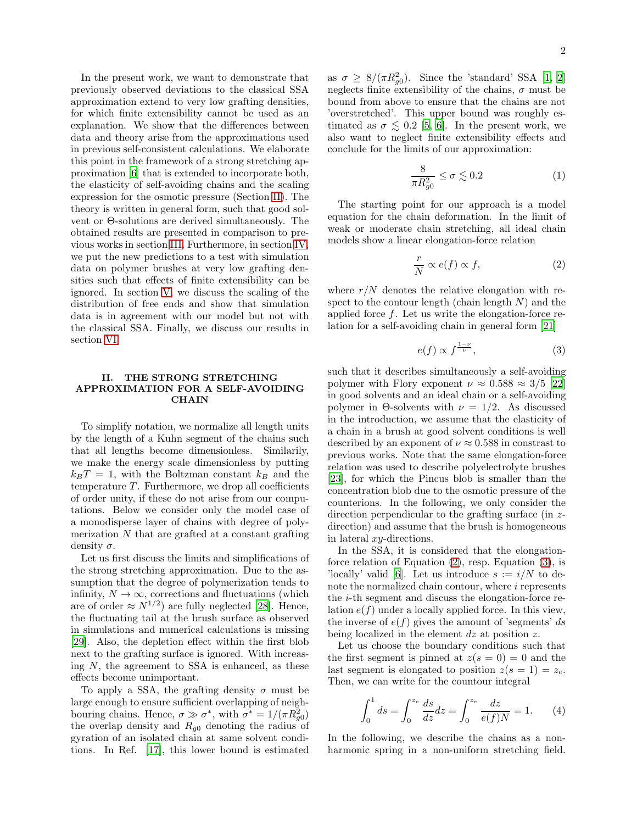In the present work, we want to demonstrate that previously observed deviations to the classical SSA approximation extend to very low grafting densities, for which finite extensibility cannot be used as an explanation. We show that the differences between data and theory arise from the approximations used in previous self-consistent calculations. We elaborate this point in the framework of a strong stretching approximation [\[6](#page-6-11)] that is extended to incorporate both, the elasticity of self-avoiding chains and the scaling expression for the osmotic pressure (Section [II\)](#page-1-0). The theory is written in general form, such that good solvent or Θ-solutions are derived simultaneously. The obtained results are presented in comparison to previous works in section [III.](#page-3-0) Furthermore, in section [IV,](#page-4-0) we put the new predictions to a test with simulation data on polymer brushes at very low grafting densities such that effects of finite extensibility can be ignored. In section [V,](#page-5-0) we discuss the scaling of the distribution of free ends and show that simulation data is in agreement with our model but not with the classical SSA. Finally, we discuss our results in section [VI.](#page-6-12)

# <span id="page-1-0"></span>II. THE STRONG STRETCHING APPROXIMATION FOR A SELF-AVOIDING **CHAIN**

To simplify notation, we normalize all length units by the length of a Kuhn segment of the chains such that all lengths become dimensionless. Similarily, we make the energy scale dimensionless by putting  $k_BT = 1$ , with the Boltzman constant  $k_B$  and the temperature  $T$ . Furthermore, we drop all coefficients of order unity, if these do not arise from our computations. Below we consider only the model case of a monodisperse layer of chains with degree of polymerization  $N$  that are grafted at a constant grafting density  $\sigma$ .

Let us first discuss the limits and simplifications of the strong stretching approximation. Due to the assumption that the degree of polymerization tends to infinity,  $N \to \infty$ , corrections and fluctuations (which are of order  $\approx N^{1/2}$ ) are fully neglected [\[28\]](#page-7-7). Hence, the fluctuating tail at the brush surface as observed in simulations and numerical calculations is missing [\[29\]](#page-7-8). Also, the depletion effect within the first blob next to the grafting surface is ignored. With increasing  $N$ , the agreement to SSA is enhanced, as these effects become unimportant.

To apply a SSA, the grafting density  $\sigma$  must be large enough to ensure sufficient overlapping of neighbouring chains. Hence,  $\sigma \gg \sigma^*$ , with  $\sigma^* = 1/(\pi R_{g0}^2)$ the overlap density and  $R_{g0}$  denoting the radius of gyration of an isolated chain at same solvent conditions. In Ref. [\[17\]](#page-6-6), this lower bound is estimated

as  $\sigma \geq 8/(\pi R_{g0}^2)$ . Since the 'standard' SSA [\[1,](#page-6-0) [2](#page-6-1)] neglects finite extensibility of the chains,  $\sigma$  must be bound from above to ensure that the chains are not 'overstretched'. This upper bound was roughly estimated as  $\sigma \lesssim 0.2$  [\[5,](#page-6-13) [6\]](#page-6-11). In the present work, we also want to neglect finite extensibility effects and conclude for the limits of our approximation:

<span id="page-1-4"></span>
$$
\frac{8}{\pi R_{g0}^2} \le \sigma \lesssim 0.2\tag{1}
$$

The starting point for our approach is a model equation for the chain deformation. In the limit of weak or moderate chain stretching, all ideal chain models show a linear elongation-force relation

<span id="page-1-1"></span>
$$
\frac{r}{N} \propto e(f) \propto f,\tag{2}
$$

where  $r/N$  denotes the relative elongation with respect to the contour length (chain length  $N$ ) and the applied force  $f$ . Let us write the elongation-force relation for a self-avoiding chain in general form [\[21](#page-7-2)]

<span id="page-1-2"></span>
$$
e(f) \propto f^{\frac{1-\nu}{\nu}},\tag{3}
$$

such that it describes simultaneously a self-avoiding polymer with Flory exponent  $\nu \approx 0.588 \approx 3/5$  [\[22](#page-7-9)] in good solvents and an ideal chain or a self-avoiding polymer in  $\Theta$ -solvents with  $\nu = 1/2$ . As discussed in the introduction, we assume that the elasticity of a chain in a brush at good solvent conditions is well described by an exponent of  $\nu \approx 0.588$  in constrast to previous works. Note that the same elongation-force relation was used to describe polyelectrolyte brushes [\[23\]](#page-7-10), for which the Pincus blob is smaller than the concentration blob due to the osmotic pressure of the counterions. In the following, we only consider the direction perpendicular to the grafting surface (in zdirection) and assume that the brush is homogeneous in lateral xy-directions.

In the SSA, it is considered that the elongationforce relation of Equation [\(2\)](#page-1-1), resp. Equation [\(3\)](#page-1-2), is 'locally' valid [\[6](#page-6-11)]. Let us introduce  $s := i/N$  to denote the normalized chain contour, where i represents the i-th segment and discuss the elongation-force relation  $e(f)$  under a locally applied force. In this view, the inverse of  $e(f)$  gives the amount of 'segments' ds being localized in the element  $dz$  at position  $z$ .

Let us choose the boundary conditions such that the first segment is pinned at  $z(s = 0) = 0$  and the last segment is elongated to position  $z(s = 1) = z_e$ . Then, we can write for the countour integral

<span id="page-1-3"></span>
$$
\int_0^1 ds = \int_0^{z_e} \frac{ds}{dz} dz = \int_0^{z_e} \frac{dz}{e(f)N} = 1.
$$
 (4)

In the following, we describe the chains as a nonharmonic spring in a non-uniform stretching field.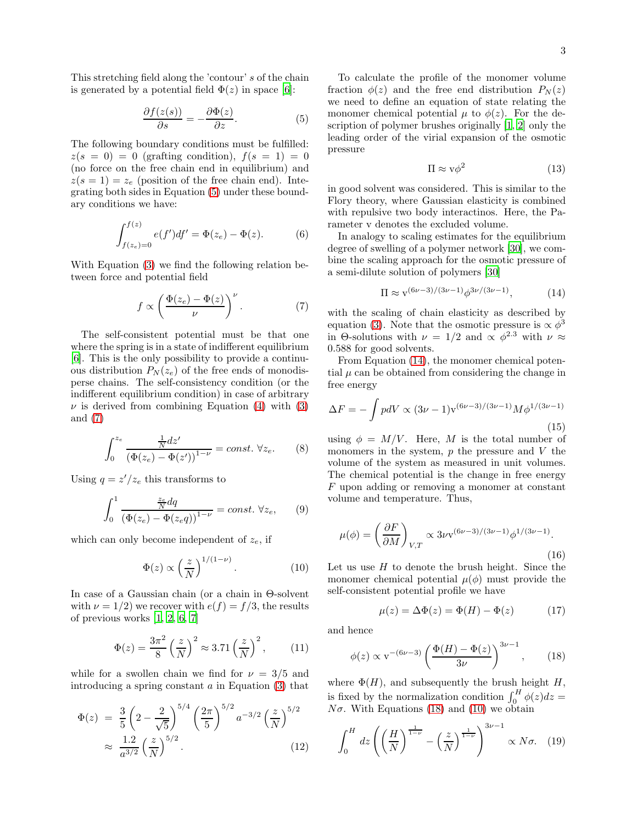This stretching field along the 'contour' s of the chain is generated by a potential field  $\Phi(z)$  in space [\[6\]](#page-6-11):

<span id="page-2-0"></span>
$$
\frac{\partial f(z(s))}{\partial s} = -\frac{\partial \Phi(z)}{\partial z}.
$$
 (5)

The following boundary conditions must be fulfilled:  $z(s = 0) = 0$  (grafting condition),  $f(s = 1) = 0$ (no force on the free chain end in equilibrium) and  $z(s=1) = z_e$  (position of the free chain end). Integrating both sides in Equation [\(5\)](#page-2-0) under these boundary conditions we have:

$$
\int_{f(z_e)=0}^{f(z)} e(f')df' = \Phi(z_e) - \Phi(z).
$$
 (6)

With Equation [\(3\)](#page-1-2) we find the following relation between force and potential field

<span id="page-2-1"></span>
$$
f \propto \left(\frac{\Phi(z_e) - \Phi(z)}{\nu}\right)^{\nu}.
$$
 (7)

The self-consistent potential must be that one where the spring is in a state of indifferent equilibrium [\[6\]](#page-6-11). This is the only possibility to provide a continuous distribution  $P_N(z_e)$  of the free ends of monodisperse chains. The self-consistency condition (or the indifferent equilibrium condition) in case of arbitrary  $\nu$  is derived from combining Equation [\(4\)](#page-1-3) with [\(3\)](#page-1-2) and [\(7\)](#page-2-1)

$$
\int_0^{z_e} \frac{\frac{1}{N} dz'}{\left(\Phi(z_e) - \Phi(z')\right)^{1-\nu}} = const. \ \forall z_e.
$$
 (8)

Using  $q = z'/z_e$  this transforms to

$$
\int_0^1 \frac{\frac{z_e}{N} dq}{\left(\Phi(z_e) - \Phi(z_e q)\right)^{1-\nu}} = const. \ \forall z_e,
$$
 (9)

which can only become independent of  $z_e$ , if

<span id="page-2-4"></span>
$$
\Phi(z) \propto \left(\frac{z}{N}\right)^{1/(1-\nu)}.\tag{10}
$$

In case of a Gaussian chain (or a chain in Θ-solvent with  $\nu = 1/2$ ) we recover with  $e(f) = f/3$ , the results of previous works [\[1](#page-6-0), [2](#page-6-1), [6](#page-6-11), [7](#page-6-4)]

$$
\Phi(z) = \frac{3\pi^2}{8} \left(\frac{z}{N}\right)^2 \approx 3.71 \left(\frac{z}{N}\right)^2, \quad (11)
$$

while for a swollen chain we find for  $\nu = 3/5$  and introducing a spring constant  $a$  in Equation  $(3)$  that

$$
\Phi(z) = \frac{3}{5} \left( 2 - \frac{2}{\sqrt{5}} \right)^{5/4} \left( \frac{2\pi}{5} \right)^{5/2} a^{-3/2} \left( \frac{z}{N} \right)^{5/2}
$$

$$
\approx \frac{1.2}{a^{3/2}} \left( \frac{z}{N} \right)^{5/2} .
$$
(12)

To calculate the profile of the monomer volume fraction  $\phi(z)$  and the free end distribution  $P_N(z)$ we need to define an equation of state relating the monomer chemical potential  $\mu$  to  $\phi(z)$ . For the description of polymer brushes originally [\[1](#page-6-0), [2\]](#page-6-1) only the leading order of the virial expansion of the osmotic pressure

$$
\Pi \approx \mathbf{v}\phi^2 \tag{13}
$$

in good solvent was considered. This is similar to the Flory theory, where Gaussian elasticity is combined with repulsive two body interactinos. Here, the Parameter v denotes the excluded volume.

In analogy to scaling estimates for the equilibrium degree of swelling of a polymer network [\[30](#page-7-11)], we combine the scaling approach for the osmotic pressure of a semi-dilute solution of polymers [\[30\]](#page-7-11)

<span id="page-2-2"></span>
$$
\Pi \approx \mathbf{v}^{(6\nu - 3)/(3\nu - 1)} \phi^{3\nu/(3\nu - 1)},\tag{14}
$$

with the scaling of chain elasticity as described by equation [\(3\)](#page-1-2). Note that the osmotic pressure is  $\propto \phi^3$ in Θ-solutions with  $\nu = 1/2$  and  $\propto \phi^{2.3}$  with  $\nu \approx$ 0.588 for good solvents.

From Equation [\(14\)](#page-2-2), the monomer chemical potential  $\mu$  can be obtained from considering the change in free energy

$$
\Delta F = -\int p dV \propto (3\nu - 1) v^{(6\nu - 3)/(3\nu - 1)} M \phi^{1/(3\nu - 1)}
$$
\n(15)

using  $\phi = M/V$ . Here, M is the total number of monomers in the system,  $p$  the pressure and  $V$  the volume of the system as measured in unit volumes. The chemical potential is the change in free energy F upon adding or removing a monomer at constant volume and temperature. Thus,

$$
\mu(\phi) = \left(\frac{\partial F}{\partial M}\right)_{V,T} \propto 3\nu v^{(6\nu - 3)/(3\nu - 1)} \phi^{1/(3\nu - 1)}.
$$
\n(16)

Let us use  $H$  to denote the brush height. Since the monomer chemical potential  $\mu(\phi)$  must provide the self-consistent potential profile we have

$$
\mu(z) = \Delta \Phi(z) = \Phi(H) - \Phi(z) \tag{17}
$$

and hence

<span id="page-2-3"></span>
$$
\phi(z) \propto \mathbf{v}^{-(6\nu-3)} \left(\frac{\Phi(H) - \Phi(z)}{3\nu}\right)^{3\nu-1},\qquad(18)
$$

where  $\Phi(H)$ , and subsequently the brush height H, is fixed by the normalization condition  $\int_0^H \phi(z) dz =$  $N\sigma$ . With Equations [\(18\)](#page-2-3) and [\(10\)](#page-2-4) we obtain

$$
\int_0^H dz \left( \left( \frac{H}{N} \right)^{\frac{1}{1-\nu}} - \left( \frac{z}{N} \right)^{\frac{1}{1-\nu}} \right)^{3\nu-1} \propto N\sigma. \quad (19)
$$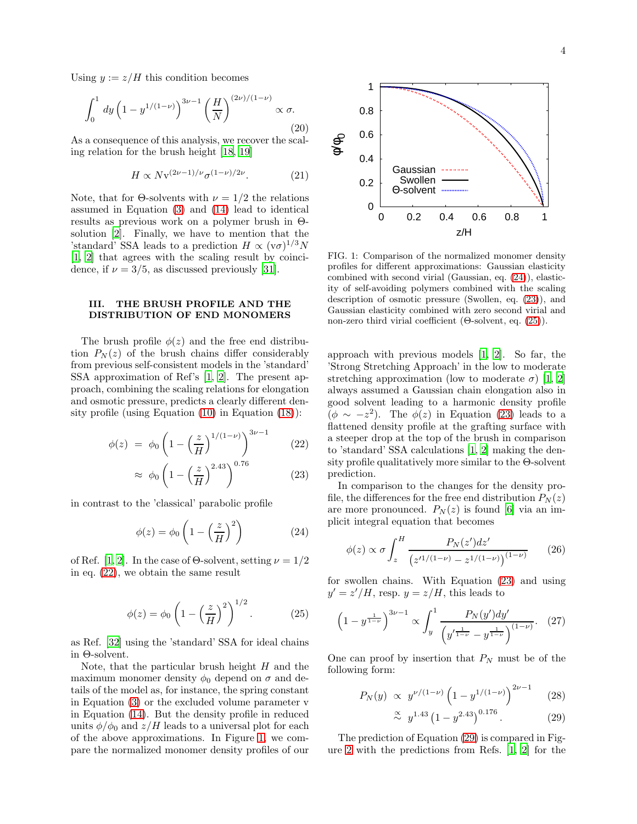Using  $y := z/H$  this condition becomes

$$
\int_0^1 dy \left(1 - y^{1/(1-\nu)}\right)^{3\nu - 1} \left(\frac{H}{N}\right)^{(2\nu)/(1-\nu)} \propto \sigma.
$$
\n(20)

As a consequence of this analysis, we recover the scaling relation for the brush height [\[18](#page-6-7), [19](#page-7-0)]

$$
H \propto N \mathbf{v}^{(2\nu - 1)/\nu} \sigma^{(1-\nu)/2\nu}.
$$
 (21)

Note, that for  $\Theta$ -solvents with  $\nu = 1/2$  the relations assumed in Equation [\(3\)](#page-1-2) and [\(14\)](#page-2-2) lead to identical results as previous work on a polymer brush in Θsolution [\[2\]](#page-6-1). Finally, we have to mention that the 'standard' SSA leads to a prediction  $H \propto (v\sigma)^{1/3} N$ [\[1,](#page-6-0) [2\]](#page-6-1) that agrees with the scaling result by coincidence, if  $\nu = 3/5$ , as discussed previously [\[31\]](#page-7-12).

## <span id="page-3-0"></span>III. THE BRUSH PROFILE AND THE DISTRIBUTION OF END MONOMERS

The brush profile  $\phi(z)$  and the free end distribution  $P_N(z)$  of the brush chains differ considerably from previous self-consistent models in the 'standard' SSA approximation of Ref's [\[1,](#page-6-0) [2](#page-6-1)]. The present approach, combining the scaling relations for elongation and osmotic pressure, predicts a clearly different density profile (using Equation [\(10\)](#page-2-4) in Equation [\(18\)](#page-2-3)):

<span id="page-3-1"></span>
$$
\phi(z) = \phi_0 \left( 1 - \left( \frac{z}{H} \right)^{1/(1-\nu)} \right)^{3\nu - 1} \tag{22}
$$

$$
\approx \phi_0 \left( 1 - \left(\frac{z}{H}\right)^{2.43} \right)^{0.76} \tag{23}
$$

in contrast to the 'classical' parabolic profile

<span id="page-3-3"></span>
$$
\phi(z) = \phi_0 \left( 1 - \left(\frac{z}{H}\right)^2 \right) \tag{24}
$$

of Ref. [\[1,](#page-6-0) [2\]](#page-6-1). In the case of  $\Theta$ -solvent, setting  $\nu = 1/2$ in eq. [\(22\)](#page-3-1), we obtain the same result

<span id="page-3-4"></span>
$$
\phi(z) = \phi_0 \left( 1 - \left(\frac{z}{H}\right)^2 \right)^{1/2}.
$$
 (25)

as Ref. [\[32\]](#page-7-13) using the 'standard' SSA for ideal chains in Θ-solvent.

Note, that the particular brush height  $H$  and the maximum monomer density  $\phi_0$  depend on  $\sigma$  and details of the model as, for instance, the spring constant in Equation [\(3\)](#page-1-2) or the excluded volume parameter v in Equation [\(14\)](#page-2-2). But the density profile in reduced units  $\phi/\phi_0$  and  $z/H$  leads to a universal plot for each of the above approximations. In Figure [1,](#page-3-2) we compare the normalized monomer density profiles of our



<span id="page-3-2"></span>FIG. 1: Comparison of the normalized monomer density profiles for different approximations: Gaussian elasticity combined with second virial (Gaussian, eq. [\(24\)](#page-3-3)), elasticity of self-avoiding polymers combined with the scaling description of osmotic pressure (Swollen, eq. [\(23\)](#page-3-1)), and Gaussian elasticity combined with zero second virial and non-zero third virial coefficient (Θ-solvent, eq. [\(25\)](#page-3-4)).

approach with previous models [\[1,](#page-6-0) [2](#page-6-1)]. So far, the 'Strong Stretching Approach' in the low to moderate stretching approximation (low to moderate  $\sigma$ ) [\[1,](#page-6-0) [2](#page-6-1)] always assumed a Gaussian chain elongation also in good solvent leading to a harmonic density profile  $(\phi \sim -z^2)$ . The  $\phi(z)$  in Equation [\(23\)](#page-3-1) leads to a flattened density profile at the grafting surface with a steeper drop at the top of the brush in comparison to 'standard' SSA calculations [\[1,](#page-6-0) [2\]](#page-6-1) making the density profile qualitatively more similar to the Θ-solvent prediction.

In comparison to the changes for the density profile, the differences for the free end distribution  $P_N(z)$ are more pronounced.  $P_N(z)$  is found [\[6](#page-6-11)] via an implicit integral equation that becomes

$$
\phi(z) \propto \sigma \int_{z}^{H} \frac{P_N(z')dz'}{\left(z'^{1/(1-\nu)} - z^{1/(1-\nu)}\right)^{(1-\nu)}} \qquad (26)
$$

for swollen chains. With Equation [\(23\)](#page-3-1) and using  $y' = z'/H$ , resp.  $y = z/H$ , this leads to

$$
\left(1 - y^{\frac{1}{1 - \nu}}\right)^{3\nu - 1} \propto \int_{y}^{1} \frac{P_N(y')dy'}{\left(y'^{\frac{1}{1 - \nu}} - y^{\frac{1}{1 - \nu}}\right)^{(1 - \nu)}}. \quad (27)
$$

One can proof by insertion that  $P_N$  must be of the following form:

<span id="page-3-5"></span>
$$
P_N(y) \propto y^{\nu/(1-\nu)} \left(1 - y^{1/(1-\nu)}\right)^{2\nu - 1} \tag{28}
$$

$$
\stackrel{\propto}{\sim} y^{1.43} \left(1 - y^{2.43}\right)^{0.176}.\tag{29}
$$

The prediction of Equation [\(29\)](#page-3-5) is compared in Figure [2](#page-4-1) with the predictions from Refs. [\[1,](#page-6-0) [2\]](#page-6-1) for the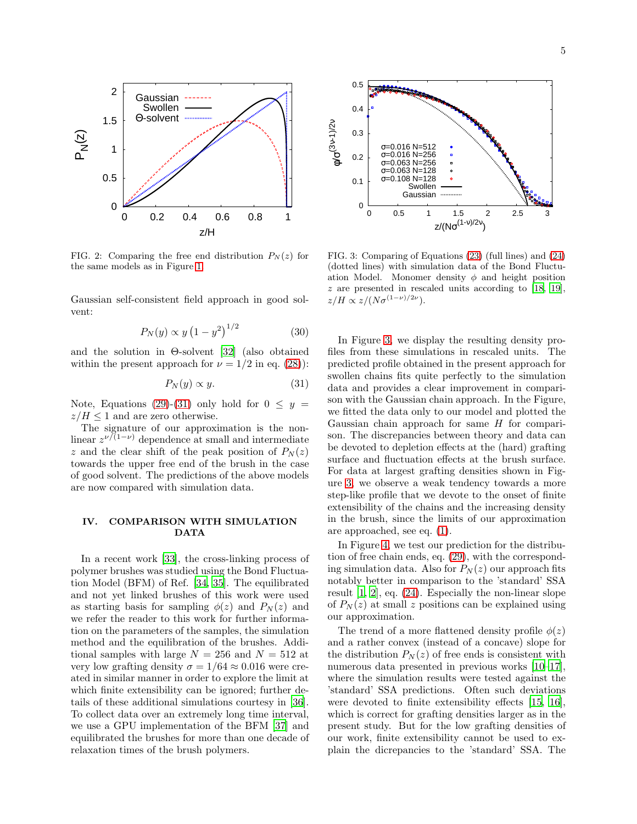

<span id="page-4-1"></span>FIG. 2: Comparing the free end distribution  $P_N(z)$  for the same models as in Figure [1.](#page-3-2)

Gaussian self-consistent field approach in good solvent:

<span id="page-4-4"></span>
$$
P_N(y) \propto y \left(1 - y^2\right)^{1/2} \tag{30}
$$

and the solution in Θ-solvent [\[32](#page-7-13)] (also obtained within the present approach for  $\nu = 1/2$  in eq. [\(28\)](#page-3-5)):

<span id="page-4-2"></span>
$$
P_N(y) \propto y.\tag{31}
$$

Note, Equations [\(29\)](#page-3-5)-[\(31\)](#page-4-2) only hold for  $0 \leq y =$  $z/H \leq 1$  and are zero otherwise.

The signature of our approximation is the nonlinear  $z^{\nu/(1-\nu)}$  dependence at small and intermediate z and the clear shift of the peak position of  $P_N(z)$ towards the upper free end of the brush in the case of good solvent. The predictions of the above models are now compared with simulation data.

# <span id="page-4-0"></span>IV. COMPARISON WITH SIMULATION DATA

In a recent work [\[33](#page-7-14)], the cross-linking process of polymer brushes was studied using the Bond Fluctuation Model (BFM) of Ref. [\[34,](#page-7-15) [35\]](#page-7-16). The equilibrated and not yet linked brushes of this work were used as starting basis for sampling  $\phi(z)$  and  $P_N(z)$  and we refer the reader to this work for further information on the parameters of the samples, the simulation method and the equilibration of the brushes. Additional samples with large  $N = 256$  and  $N = 512$  at very low grafting density  $\sigma = 1/64 \approx 0.016$  were created in similar manner in order to explore the limit at which finite extensibility can be ignored; further details of these additional simulations courtesy in [\[36\]](#page-7-17). To collect data over an extremely long time interval, we use a GPU implementation of the BFM [\[37\]](#page-7-18) and equilibrated the brushes for more than one decade of relaxation times of the brush polymers.



<span id="page-4-3"></span>FIG. 3: Comparing of Equations [\(23\)](#page-3-1) (full lines) and [\(24\)](#page-3-3) (dotted lines) with simulation data of the Bond Fluctuation Model. Monomer density  $\phi$  and height position z are presented in rescaled units according to [\[18,](#page-6-7) [19\]](#page-7-0),  $z/H \propto z/(N\sigma^{(1-\nu)/2\nu}).$ 

In Figure [3,](#page-4-3) we display the resulting density profiles from these simulations in rescaled units. The predicted profile obtained in the present approach for swollen chains fits quite perfectly to the simulation data and provides a clear improvement in comparison with the Gaussian chain approach. In the Figure, we fitted the data only to our model and plotted the Gaussian chain approach for same  $H$  for comparison. The discrepancies between theory and data can be devoted to depletion effects at the (hard) grafting surface and fluctuation effects at the brush surface. For data at largest grafting densities shown in Figure [3,](#page-4-3) we observe a weak tendency towards a more step-like profile that we devote to the onset of finite extensibility of the chains and the increasing density in the brush, since the limits of our approximation are approached, see eq. [\(1\)](#page-1-4).

In Figure [4,](#page-5-1) we test our prediction for the distribution of free chain ends, eq. [\(29\)](#page-3-5), with the corresponding simulation data. Also for  $P_N(z)$  our approach fits notably better in comparison to the 'standard' SSA result [\[1](#page-6-0), [2](#page-6-1)], eq. [\(24\)](#page-3-3). Especially the non-linear slope of  $P_N(z)$  at small z positions can be explained using our approximation.

The trend of a more flattened density profile  $\phi(z)$ and a rather convex (instead of a concave) slope for the distribution  $P_N(z)$  of free ends is consistent with numerous data presented in previous works [\[10](#page-6-5)[–17\]](#page-6-6), where the simulation results were tested against the 'standard' SSA predictions. Often such deviations were devoted to finite extensibility effects [\[15,](#page-6-9) [16\]](#page-6-10), which is correct for grafting densities larger as in the present study. But for the low grafting densities of our work, finite extensibility cannot be used to explain the dicrepancies to the 'standard' SSA. The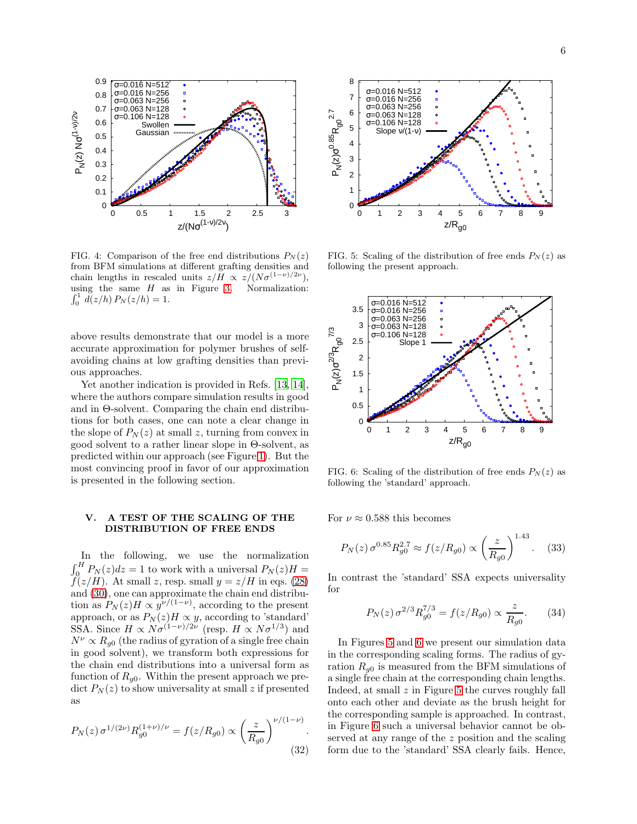

<span id="page-5-1"></span>FIG. 4: Comparison of the free end distributions  $P_N(z)$ from BFM simulations at different grafting densities and chain lengths in rescaled units  $z/H \propto z/(N\sigma^{(1-\nu)/2\nu}),$ using the same  $H$  as in Figure [3.](#page-4-3) Normalization:  $\int_0^1 d(z/h) P_N(z/h) = 1.$ 

above results demonstrate that our model is a more accurate approximation for polymer brushes of selfavoiding chains at low grafting densities than previous approaches.

Yet another indication is provided in Refs. [\[13,](#page-6-14) [14\]](#page-6-15), where the authors compare simulation results in good and in Θ-solvent. Comparing the chain end distributions for both cases, one can note a clear change in the slope of  $P_N(z)$  at small z, turning from convex in good solvent to a rather linear slope in Θ-solvent, as predicted within our approach (see Figure [1\)](#page-3-2). But the most convincing proof in favor of our approximation is presented in the following section.

#### <span id="page-5-0"></span>V. A TEST OF THE SCALING OF THE DISTRIBUTION OF FREE ENDS

In the following, we use the normalization  $\int_0^H P_N(z) dz = 1$  to work with a universal  $P_N(z)H =$  $f(z/H)$ . At small z, resp. small  $y = z/H$  in eqs. [\(28\)](#page-3-5) and [\(30\)](#page-4-4), one can approximate the chain end distribution as  $P_N(z)H \propto y^{\nu/(1-\nu)}$ , according to the present approach, or as  $P_N(z)H \propto y$ , according to 'standard' SSA. Since  $H \propto N \sigma^{(1-\nu)/2\nu}$  (resp.  $H \propto N \sigma^{1/3}$ ) and  $N^{\nu} \propto R_{q0}$  (the radius of gyration of a single free chain in good solvent), we transform both expressions for the chain end distributions into a universal form as function of  $R_{q0}$ . Within the present approach we predict  $P_N(z)$  to show universality at small z if presented as

$$
P_N(z) \sigma^{1/(2\nu)} R_{g0}^{(1+\nu)/\nu} = f(z/R_{g0}) \propto \left(\frac{z}{R_{g0}}\right)^{\nu/(1-\nu)}.
$$
\n(32)



<span id="page-5-2"></span>FIG. 5: Scaling of the distribution of free ends  $P_N(z)$  as following the present approach.



<span id="page-5-3"></span>FIG. 6: Scaling of the distribution of free ends  $P_N(z)$  as following the 'standard' approach.

For  $\nu \approx 0.588$  this becomes

$$
P_N(z) \,\sigma^{0.85} R_{g0}^{2.7} \approx f(z/R_{g0}) \propto \left(\frac{z}{R_{g0}}\right)^{1.43}.\tag{33}
$$

In contrast the 'standard' SSA expects universality for

$$
P_N(z)\,\sigma^{2/3}R_{g0}^{7/3} = f(z/R_{g0}) \propto \frac{z}{R_{g0}}.\tag{34}
$$

In Figures [5](#page-5-2) and [6](#page-5-3) we present our simulation data in the corresponding scaling forms. The radius of gyration  $R_{q0}$  is measured from the BFM simulations of a single free chain at the corresponding chain lengths. Indeed, at small  $z$  in Figure [5](#page-5-2) the curves roughly fall onto each other and deviate as the brush height for the corresponding sample is approached. In contrast, in Figure [6](#page-5-3) such a universal behavior cannot be observed at any range of the z position and the scaling form due to the 'standard' SSA clearly fails. Hence,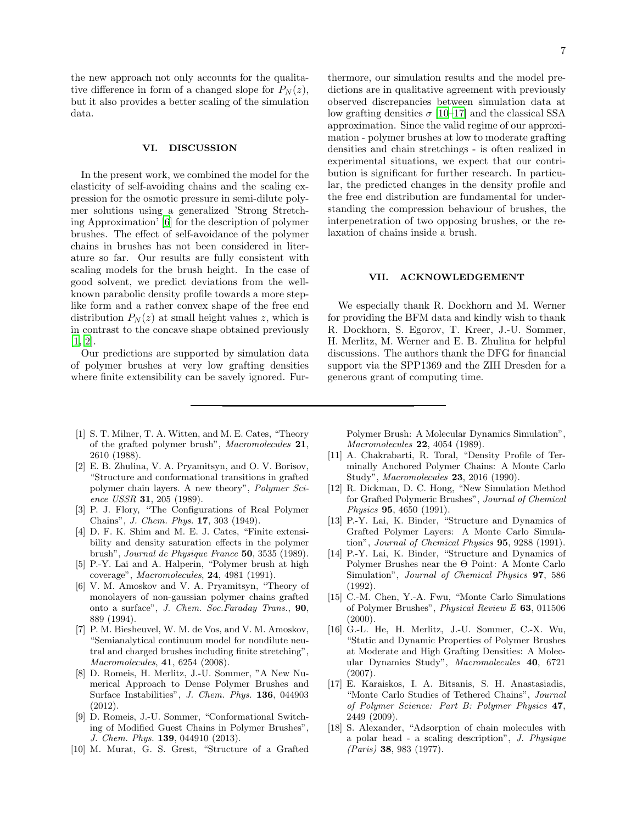the new approach not only accounts for the qualitative difference in form of a changed slope for  $P_N(z)$ , but it also provides a better scaling of the simulation data.

## <span id="page-6-12"></span>VI. DISCUSSION

In the present work, we combined the model for the elasticity of self-avoiding chains and the scaling expression for the osmotic pressure in semi-dilute polymer solutions using a generalized 'Strong Stretching Approximation' [\[6](#page-6-11)] for the description of polymer brushes. The effect of self-avoidance of the polymer chains in brushes has not been considered in literature so far. Our results are fully consistent with scaling models for the brush height. In the case of good solvent, we predict deviations from the wellknown parabolic density profile towards a more steplike form and a rather convex shape of the free end distribution  $P_N(z)$  at small height values z, which is in contrast to the concave shape obtained previously [\[1,](#page-6-0) [2\]](#page-6-1).

Our predictions are supported by simulation data of polymer brushes at very low grafting densities where finite extensibility can be savely ignored. Fur-

- <span id="page-6-0"></span>[1] S. T. Milner, T. A. Witten, and M. E. Cates, "Theory of the grafted polymer brush", *Macromolecules* 21, 2610 (1988).
- <span id="page-6-1"></span>[2] E. B. Zhulina, V. A. Pryamitsyn, and O. V. Borisov, "Structure and conformational transitions in grafted polymer chain layers. A new theory", *Polymer Science USSR* 31, 205 (1989).
- <span id="page-6-2"></span>[3] P. J. Flory, "The Configurations of Real Polymer Chains", *J. Chem. Phys.* 17, 303 (1949).
- <span id="page-6-3"></span>[4] D. F. K. Shim and M. E. J. Cates, "Finite extensibility and density saturation effects in the polymer brush", *Journal de Physique France* 50, 3535 (1989).
- <span id="page-6-13"></span>[5] P.-Y. Lai and A. Halperin, "Polymer brush at high coverage", *Macromolecules*, 24, 4981 (1991).
- <span id="page-6-11"></span>[6] V. M. Amoskov and V. A. Pryamitsyn, "Theory of monolayers of non-gaussian polymer chains grafted onto a surface", *J. Chem. Soc.Faraday Trans.*, 90, 889 (1994).
- <span id="page-6-4"></span>[7] P. M. Biesheuvel, W. M. de Vos, and V. M. Amoskov, "Semianalytical continuum model for nondilute neutral and charged brushes including finite stretching", *Macromolecules*, 41, 6254 (2008).
- [8] D. Romeis, H. Merlitz, J.-U. Sommer, "A New Numerical Approach to Dense Polymer Brushes and Surface Instabilities", *J. Chem. Phys.* 136, 044903 (2012).
- [9] D. Romeis, J.-U. Sommer, "Conformational Switching of Modified Guest Chains in Polymer Brushes", *J. Chem. Phys.* 139, 044910 (2013).
- <span id="page-6-5"></span>[10] M. Murat, G. S. Grest, "Structure of a Grafted

thermore, our simulation results and the model predictions are in qualitative agreement with previously observed discrepancies between simulation data at low grafting densities  $\sigma$  [\[10](#page-6-5)[–17](#page-6-6)] and the classical SSA approximation. Since the valid regime of our approximation - polymer brushes at low to moderate grafting densities and chain stretchings - is often realized in experimental situations, we expect that our contribution is significant for further research. In particular, the predicted changes in the density profile and the free end distribution are fundamental for understanding the compression behaviour of brushes, the interpenetration of two opposing brushes, or the relaxation of chains inside a brush.

#### VII. ACKNOWLEDGEMENT

We especially thank R. Dockhorn and M. Werner for providing the BFM data and kindly wish to thank R. Dockhorn, S. Egorov, T. Kreer, J.-U. Sommer, H. Merlitz, M. Werner and E. B. Zhulina for helpful discussions. The authors thank the DFG for financial support via the SPP1369 and the ZIH Dresden for a generous grant of computing time.

Polymer Brush: A Molecular Dynamics Simulation", *Macromolecules* 22, 4054 (1989).

- [11] A. Chakrabarti, R. Toral, "Density Profile of Terminally Anchored Polymer Chains: A Monte Carlo Study", *Macromolecules* 23, 2016 (1990).
- <span id="page-6-8"></span>[12] R. Dickman, D. C. Hong, "New Simulation Method for Grafted Polymeric Brushes", *Journal of Chemical Physics* 95, 4650 (1991).
- <span id="page-6-14"></span>[13] P.-Y. Lai, K. Binder, "Structure and Dynamics of Grafted Polymer Layers: A Monte Carlo Simulation", *Journal of Chemical Physics* 95, 9288 (1991).
- <span id="page-6-15"></span>[14] P.-Y. Lai, K. Binder, "Structure and Dynamics of Polymer Brushes near the Θ Point: A Monte Carlo Simulation", *Journal of Chemical Physics* 97, 586 (1992).
- <span id="page-6-9"></span>[15] C.-M. Chen, Y.-A. Fwu, "Monte Carlo Simulations of Polymer Brushes", *Physical Review E* 63, 011506  $(2000).$
- <span id="page-6-10"></span>[16] G.-L. He, H. Merlitz, J.-U. Sommer, C.-X. Wu, "Static and Dynamic Properties of Polymer Brushes at Moderate and High Grafting Densities: A Molecular Dynamics Study", *Macromolecules* 40, 6721 (2007).
- <span id="page-6-6"></span>[17] E. Karaiskos, I. A. Bitsanis, S. H. Anastasiadis, "Monte Carlo Studies of Tethered Chains", *Journal of Polymer Science: Part B: Polymer Physics* 47, 2449 (2009).
- <span id="page-6-7"></span>[18] S. Alexander, "Adsorption of chain molecules with a polar head - a scaling description", *J. Physique (Paris)* 38, 983 (1977).